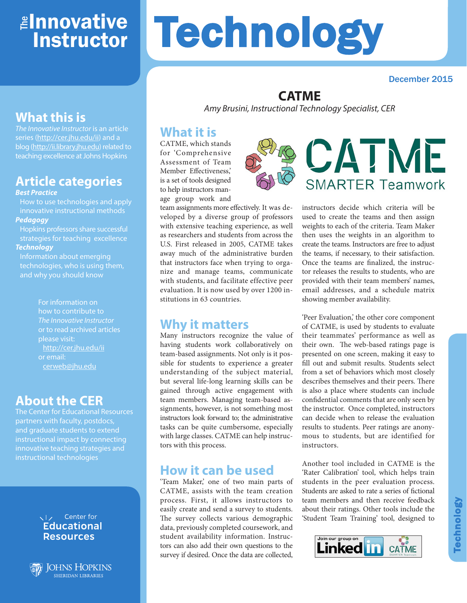# <mark>≇Innovative</mark> Instructor

# **Technology**

#### December 2015

## **CATME**

*Amy Brusini, Instructional Technology Specialist, CER*

# **What it is**

CATME, which stands for 'Comprehensive Assessment of Team Member Effectiveness,' is a set of tools designed to help instructors man-

age group work and team assignments more effectively. It was developed by a diverse group of professors with extensive teaching experience, as well as researchers and students from across the U.S. First released in 2005, CATME takes away much of the administrative burden that instructors face when trying to organize and manage teams, communicate with students, and facilitate effective peer evaluation. It is now used by over 1200 institutions in 63 countries.

# **Why it matters**

Many instructors recognize the value of having students work collaboratively on team-based assignments. Not only is it possible for students to experience a greater understanding of the subject material, but several life-long learning skills can be gained through active engagement with team members. Managing team-based assignments, however, is not something most instructors look forward to; the administrative tasks can be quite cumbersome, especially with large classes. CATME can help instructors with this process.

# **How it can be used**

'Team Maker,' one of two main parts of CATME, assists with the team creation process. First, it allows instructors to easily create and send a survey to students. The survey collects various demographic data, previously completed coursework, and student availability information. Instructors can also add their own questions to the survey if desired. Once the data are collected,



instructors decide which criteria will be used to create the teams and then assign weights to each of the criteria. Team Maker then uses the weights in an algorithm to create the teams. Instructors are free to adjust the teams, if necessary, to their satisfaction. Once the teams are finalized, the instructor releases the results to students, who are provided with their team members' names, email addresses, and a schedule matrix showing member availability.

'Peer Evaluation,' the other core component of CATME, is used by students to evaluate their teammates' performance as well as their own. The web-based ratings page is presented on one screen, making it easy to fill out and submit results. Students select from a set of behaviors which most closely describes themselves and their peers. There is also a place where students can include confidential comments that are only seen by the instructor. Once completed, instructors can decide when to release the evaluation results to students. Peer ratings are anonymous to students, but are identified for instructors.

Another tool included in CATME is the 'Rater Calibration' tool, which helps train students in the peer evaluation process. Students are asked to rate a series of fictional team members and then receive feedback about their ratings. Other tools include the 'Student Team Training' tool, designed to



# **What this is**

*The Innovative Instructor* is an article series (http://cer.jhu.edu/ii) and a blog (http://ii.library.jhu.edu) related to teaching excellence at Johns Hopkins

# **Article categories**

#### *Best Practice*

How to use technologies and apply innovative instructional methods *Pedagogy*

Hopkins professors share successful strategies for teaching excellence

#### *Technology*

Information about emerging technologies, who is using them, and why you should know

> For information on how to contribute to *The Innovative Instructor* or to read archived articles please visit: http://cer.jhu.edu/ii or email: cerweb@jhu.edu

# **About the CER**

The Center for Educational Resources partners with faculty, postdocs, and graduate students to extend instructional impact by connecting innovative teaching strategies and instructional technologies